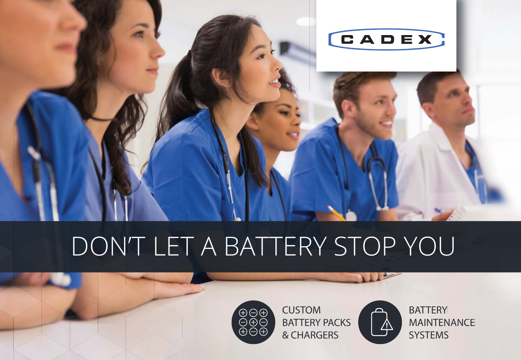

# DON'T LET A BATTERY STOP YOU



CUSTOM **BATTERY PACKS** & CHARGERS



**BATTERY** MAINTENANCE **SYSTEMS**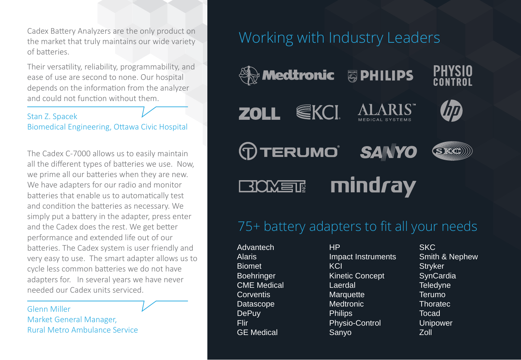Cadex Battery Analyzers are the only product on the market that truly maintains our wide variety of baƩeries.

Their versatility, reliability, programmability, and ease of use are second to none. Our hospital depends on the information from the analyzer and could not function without them.

### Stan Z. Spacek Biomedical Engineering, Ottawa Civic Hospital

The Cadex C-7000 allows us to easily maintain all the different types of batteries we use. Now, we prime all our batteries when they are new. We have adapters for our radio and monitor batteries that enable us to automatically test and condition the batteries as necessary. We simply put a battery in the adapter, press enter and the Cadex does the rest. We get better performance and extended life out of our batteries. The Cadex system is user friendly and very easy to use. The smart adapter allows us to cycle less common batteries we do not have adapters for. In several years we have never needed our Cadex units serviced.

### Glenn Miller Market General Manager, Rural Metro Ambulance Service

### Working with Industry Leaders

**A Medtronic** 

**ZOLL** 





SRO

**TERUMO SANYO** mindray **BIOMET!** 

EKCI

### 75+ battery adapters to fit all your needs

Advantech Alaris Biomet Boehringer CME Medical **Corventis** Datascope DePuy Flir GE Medical

HP Impact Instruments **KCI** Kinetic Concept Laerdal **Marquette Medtronic Philips** Physio-Control Sanyo

**SKC** Smith & Nephew **Stryker SynCardia Teledyne** Terumo Thoratec **Tocad** Unipower Zoll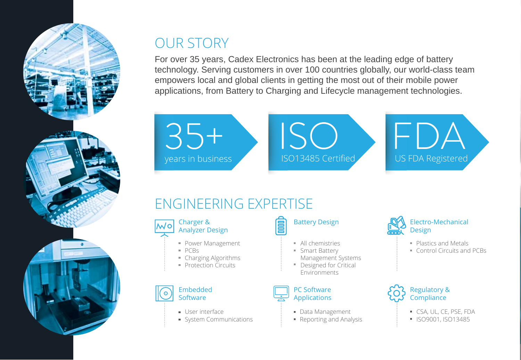

## OUR STORY

For over 35 years, Cadex Electronics has been at the leading edge of battery technology. Serving customers in over 100 countries globally, our world-class team empowers local and global clients in getting the most out of their mobile power applications, from Battery to Charging and Lifecycle management technologies.



### ENGINEERING EXPERTISE



- **Power Management**
- $PCRs$
- Charging Algorithms
- **Protection Circuits**



- 
- **User interface**
- System Communications



- **All chemistries**
- Smart Battery Management Systems
- " Designed for Critical Environments



- **Data Management**
- Reporting and Analysis



- **Plastics and Metals**
- **Control Circuits and PCBs**



- CSA, UL, CE, PSE, FDA
- **ISO9001, ISO13485**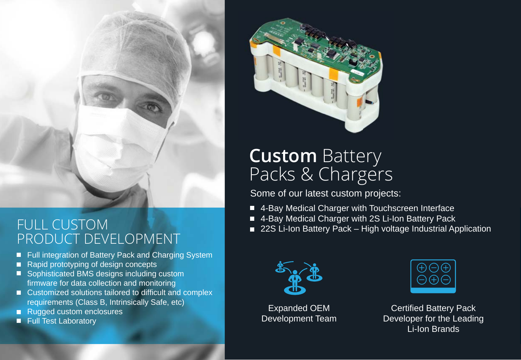

### FULL CUSTOM PRODUCT DEVELOPMENT

- Full integration of Battery Pack and Charging System
- Rapid prototyping of design concepts
- Sophisticated BMS designs including custom firmware for data collection and monitoring
- Customized solutions tailored to difficult and complex requirements (Class B, Intrinsically Safe, etc)
- Rugged custom enclosures
- **Full Test Laboratory**



# **Custom** Battery Packs & Chargers

Some of our latest custom projects:

- 4-Bay Medical Charger with Touchscreen Interface
- 4-Bay Medical Charger with 2S Li-Ion Battery Pack
- 22S Li-Ion Battery Pack High voltage Industrial Application



Expanded OEM Development Team



Certified Battery Pack Developer for the Leading Li-Ion Brands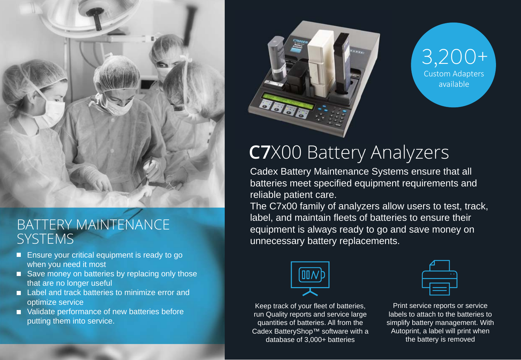

### BATTERY MAINTENANCE SYSTEMS

- Ensure your critical equipment is ready to go when you need it most
- Save money on batteries by replacing only those that are no longer useful
- Label and track batteries to minimize error and optimize service
- Validate performance of new batteries before putting them into service.





# **C7**X00 Battery Analyzers

Cadex Battery Maintenance Systems ensure that all batteries meet specified equipment requirements and reliable patient care.

The C7x00 family of analyzers allow users to test, track, label, and maintain fleets of batteries to ensure their equipment is always ready to go and save money on unnecessary battery replacements.



Keep track of your fleet of batteries, run Quality reports and service large quantities of batteries. All from the Cadex BatteryShop™ software with a database of 3,000+ batteries

Print service reports or service labels to attach to the batteries to simplify battery management. With Autoprint, a label will print when the battery is removed